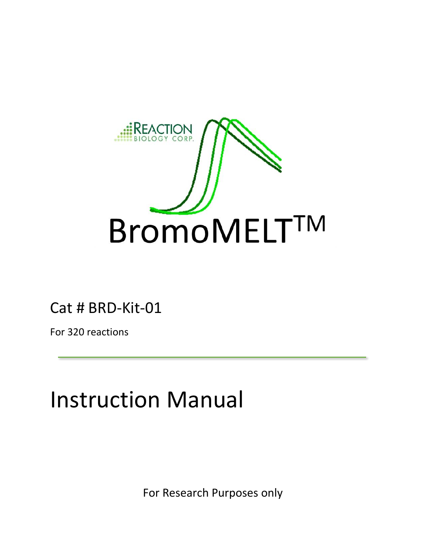

Cat # BRD-Kit-01

For 320 reactions

# Instruction Manual

For Research Purposes only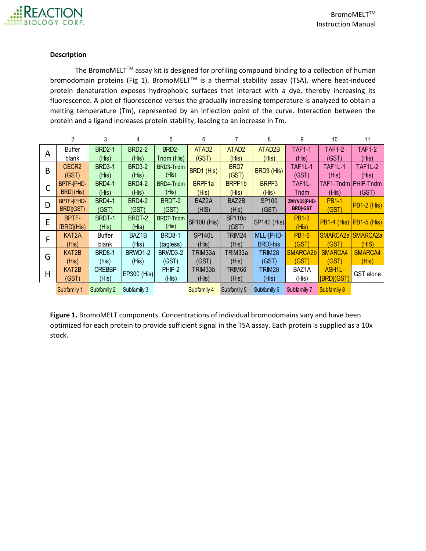#### **Description**

The BromoMELT<sup>™</sup> assay kit is designed for profiling compound binding to a collection of human bromodomain proteins (Fig 1). BromoMELT™ is a thermal stability assay (TSA), where heat-induced protein denaturation exposes hydrophobic surfaces that interact with a dye, thereby increasing its fluorescence. A plot of fluorescence versus the gradually increasing temperature is analyzed to obtain a melting temperature (Tm), represented by an inflection point of the curve. Interaction between the protein and a ligand increases protein stability, leading to an increase in Tm. 11 denaturation exposes hydrophobic surfaces that interact with a dye, thereby increasing it<br>
2 a 4 5 6 7 8 9 10 11 11 16 PMD2-1 | BRD2-2 | BRD2- | ATAD2 | ATAD2 | ATAD2 | TAF1-1 | TAF1-2 | TAF1<br>
19 11 11 11 11 12 11 11 11

|   | 2                  | 3             | 4                       | 5             | 6                 |                       | 8                | 9                     | 10                   | 11                   |  |
|---|--------------------|---------------|-------------------------|---------------|-------------------|-----------------------|------------------|-----------------------|----------------------|----------------------|--|
|   | Buffer             | <b>BRD2-1</b> | <b>BRD2-2</b>           | BRD2-         | ATAD <sub>2</sub> | ATAD <sub>2</sub>     | ATAD2B           | <b>TAF1-1</b>         | <b>TAF1-2</b>        | TAF1-2               |  |
| A | blank              | (His)         | (His)                   | Tndm (His)    | (GST)             | (His)                 | (His)            | (His)                 | (GST)                | (His)                |  |
| B | CECR <sub>2</sub>  | <b>BRD3-1</b> | <b>BRD3-2</b>           | BRD3-Tndm     | BRD1 (His)        | BRD7                  | BRD9 (His)       | TAF1L-1               | TAF1L-1              | <b>TAF1L-2</b>       |  |
|   | (GST)              | (His)         | (His)                   |               |                   | (GST)                 |                  | (GST)                 | (His)                | (His)                |  |
|   | <b>BPTF-IPHD-</b>  | <b>BRD4-1</b> | <b>BRD4-2</b>           | BRD4-Tndm     | BRPF1a            | BRPF1b                | BRPF3            | TAF1L-                |                      | TAF1-Tndm PHIP-Tndm  |  |
|   | BRD] (His)         | (His)         | (His)                   | (His)         | (His)             | (His)                 | (His)            | Tndm                  | (His)                | (GST)                |  |
| D | BPTF-IPHD-         | <b>BRD4-1</b> | BRDT-2<br><b>BRD4-2</b> |               | BAZ2A             | <b>SP100</b><br>BAZ2B |                  | ZMYND8[PHD-           | <b>PB1-1</b>         | <b>PB1-2 (His)</b>   |  |
|   | BRD](GST)          | (GST)         | (GST)                   | (GST)         | (HIS)             | (His)                 | (GST)            | <b>BRDJ-GST</b>       | (GST)                |                      |  |
|   | BPTF-              | BRDT-1        | BRDT-2                  | BRDT-Tndm     | SP100 (His)       | <b>SP110c</b>         | SP140 (His)      | <b>PB1-3</b>          | <b>PB1-4 (His)</b>   | $PB1-5$ (His)        |  |
| E | [BRD](His)         | (His)         | (His)                   | (His)         |                   | (GST)                 |                  | (His)                 |                      |                      |  |
| F | KAT <sub>2</sub> A | Buffer        | BAZ1B                   | <b>BRD8-1</b> | <b>SP140L</b>     | TRIM24                | MLL-[PHD-        | <b>PB1-6</b>          | SMARCA <sub>2a</sub> | SMARCA <sub>2a</sub> |  |
|   | (His)              | blank         | (His)                   | (tagless)     | (His)             | (His)                 | <b>BRD</b> ]-his | (GST)                 | (GST)                | (HIS)                |  |
| G | KAT2B              | <b>BRD8-1</b> | BRWD1-2                 | BRWD3-2       | TRIM33a           | TRIM33a               | TRIM28           | SMARCA <sub>2</sub> b | SMARCA4              | SMARCA4              |  |
|   | (His)              | (his)         | (His)                   | (GST)         | (GST)             | (His)                 | (GST)            | (GST)                 | (GST)                | (His)                |  |
| H | KAT2B              | <b>CREBBP</b> | EP300 (His)             | PHIP-2        |                   | TRIM66                | TRIM28           | BAZ1A                 | ASH <sub>1L</sub> -  | GST alone            |  |
|   | (GST)              | (His)         |                         | (His)         | (His)             | (His)                 | (His)            | (His)                 | [BRD](GST)           |                      |  |
|   | Subfamily 1        | Subfamily 2   | Subfamily 3             |               | Subfamily 4       | Subfamily 5           | Subfamily 6      | Subfamily 7           | Subfamily 8          |                      |  |

**Figure 1.** BromoMELT components. Concentrations of individual bromodomains vary and have been optimized for each protein to provide sufficient signal in the TSA assay. Each protein is supplied as a 10x stock.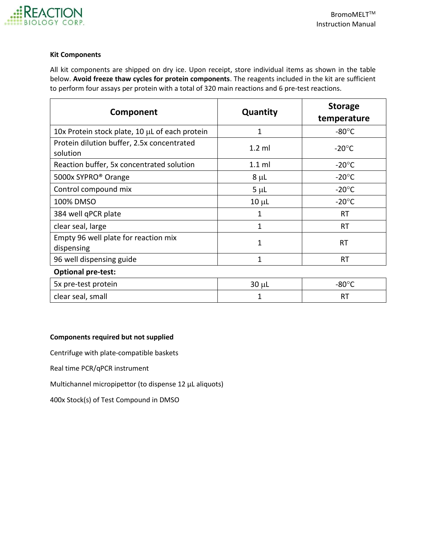

## **Kit Components**

All kit components are shipped on dry ice. Upon receipt, store individual items as shown in the table below. **Avoid freeze thaw cycles for protein components**. The reagents included in the kit are sufficient to perform four assays per protein with a total of 320 main reactions and 6 pre-test reactions.

| Component                                              | Quantity       | <b>Storage</b><br>temperature |  |  |
|--------------------------------------------------------|----------------|-------------------------------|--|--|
| 10x Protein stock plate, 10 µL of each protein         | 1              | $-80^{\circ}$ C               |  |  |
| Protein dilution buffer, 2.5x concentrated<br>solution | $1.2$ ml       | $-20^{\circ}$ C               |  |  |
| Reaction buffer, 5x concentrated solution              | $1.1$ ml       | $-20^{\circ}$ C               |  |  |
| 5000x SYPRO <sup>®</sup> Orange                        | $8 \mu L$      | $-20^{\circ}$ C               |  |  |
| Control compound mix                                   | $5 \mu L$      | $-20^{\circ}$ C               |  |  |
| 100% DMSO                                              | $10 \mu L$     | $-20^{\circ}$ C               |  |  |
| 384 well qPCR plate                                    | 1              | <b>RT</b>                     |  |  |
| clear seal, large                                      | $\overline{1}$ | <b>RT</b>                     |  |  |
| Empty 96 well plate for reaction mix<br>dispensing     | 1              | RT                            |  |  |
| 96 well dispensing guide                               | 1              | RT                            |  |  |
| <b>Optional pre-test:</b>                              |                |                               |  |  |
| 5x pre-test protein                                    | $30 \mu L$     | $-80^{\circ}$ C               |  |  |
| clear seal, small                                      | 1              | RT                            |  |  |

# **Components required but not supplied**

Centrifuge with plate-compatible baskets

Real time PCR/qPCR instrument

Multichannel micropipettor (to dispense 12 µL aliquots)

400x Stock(s) of Test Compound in DMSO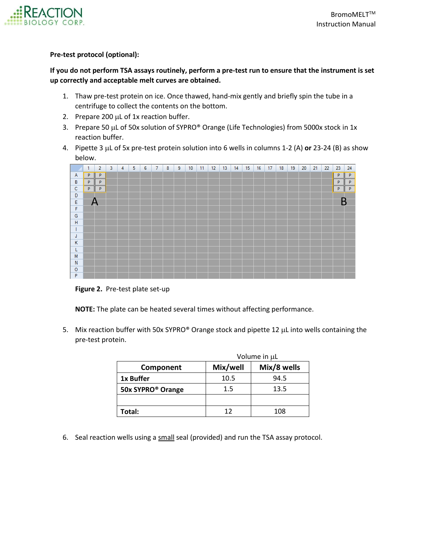

## **Pre-test protocol (optional):**

# **If you do not perform TSA assays routinely, perform a pre-test run to ensure that the instrument is set up correctly and acceptable melt curves are obtained.**

- 1. Thaw pre-test protein on ice. Once thawed, hand-mix gently and briefly spin the tube in a centrifuge to collect the contents on the bottom.
- 2. Prepare 200  $\mu$ L of 1x reaction buffer.
- 3. Prepare 50 µL of 50x solution of SYPRO® Orange (Life Technologies) from 5000x stock in 1x reaction buffer.
- 4. Pipette 3  $\mu$ L of 5x pre-test protein solution into 6 wells in columns 1-2 (A) or 23-24 (B) as show below.



**Figure 2.** Pre-test plate set-up

**NOTE:** The plate can be heated several times without affecting performance.

5. Mix reaction buffer with 50x SYPRO® Orange stock and pipette 12  $\mu$ L into wells containing the pre-test protein.

|                               | Volume in µL |             |  |  |  |  |  |  |
|-------------------------------|--------------|-------------|--|--|--|--|--|--|
| Component                     | Mix/well     | Mix/8 wells |  |  |  |  |  |  |
| 1x Buffer                     | 10.5         | 94.5        |  |  |  |  |  |  |
| 50x SYPRO <sup>®</sup> Orange | 1.5          | 13.5        |  |  |  |  |  |  |
|                               |              |             |  |  |  |  |  |  |
| Total:                        | 12           | 108         |  |  |  |  |  |  |

6. Seal reaction wells using a small seal (provided) and run the TSA assay protocol.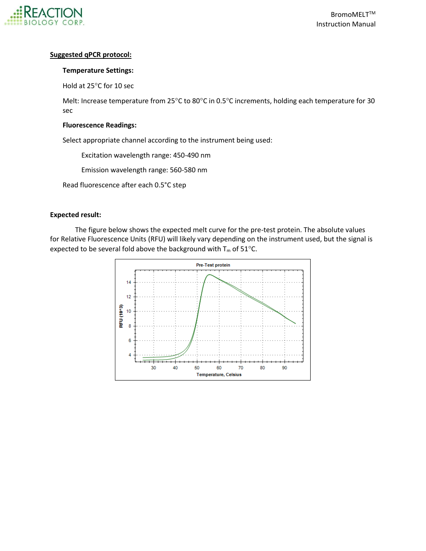

# **Suggested qPCR protocol:**

# **Temperature Settings:**

Hold at 25°C for 10 sec

Melt: Increase temperature from 25°C to 80°C in 0.5°C increments, holding each temperature for 30 sec

# **Fluorescence Readings:**

Select appropriate channel according to the instrument being used:

Excitation wavelength range: 450-490 nm

Emission wavelength range: 560-580 nm

Read fluorescence after each 0.5°C step

# **Expected result:**

The figure below shows the expected melt curve for the pre-test protein. The absolute values for Relative Fluorescence Units (RFU) will likely vary depending on the instrument used, but the signal is expected to be several fold above the background with  $T_m$  of 51°C.

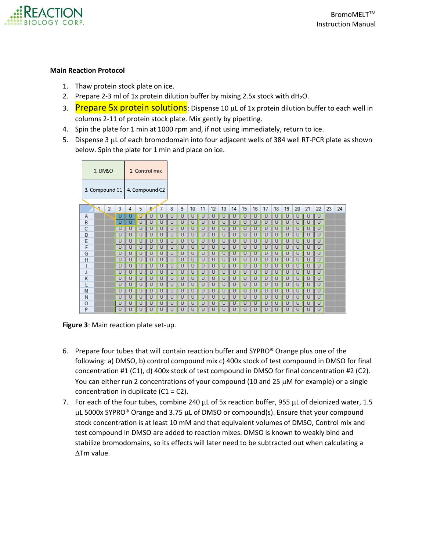

## **Main Reaction Protocol**

- 1. Thaw protein stock plate on ice.
- 2. Prepare 2-3 ml of 1x protein dilution buffer by mixing 2.5x stock with  $dH_2O$ .
- 3. Prepare 5x protein solutions: Dispense 10 µL of 1x protein dilution buffer to each well in columns 2-11 of protein stock plate. Mix gently by pipetting.
- 4. Spin the plate for 1 min at 1000 rpm and, if not using immediately, return to ice.
- 5. Dispense 3 µL of each bromodomain into four adjacent wells of 384 well RT-PCR plate as shown below. Spin the plate for 1 min and place on ice.

| 2. Control mix<br>1. DMSO       |                      |  |   |   |   |            |   |   |                |    |    |    |    |    |    |    |    |    |    |    |    |    |    |    |
|---------------------------------|----------------------|--|---|---|---|------------|---|---|----------------|----|----|----|----|----|----|----|----|----|----|----|----|----|----|----|
| 3. Compound C1   4. Compound C2 |                      |  |   |   |   |            |   |   |                |    |    |    |    |    |    |    |    |    |    |    |    |    |    |    |
|                                 | $\overline{2}$<br>J. |  | 3 | 4 | 5 | $\epsilon$ | 7 | 8 | $\overline{9}$ | 10 | 11 | 12 | 13 | 14 | 15 | 16 | 17 | 18 | 19 | 20 | 21 | 22 | 23 | 24 |
| $\mathsf{A}$                    |                      |  | U |   |   |            |   |   | U              | U  |    |    |    |    |    |    |    |    |    | υ  | U  | U  |    |    |
| B                               |                      |  |   |   |   |            |   |   |                |    |    |    |    |    |    |    |    |    |    |    |    | U  |    |    |
| C                               |                      |  | U |   |   |            |   |   |                |    |    |    |    |    |    |    |    |    |    |    |    | U  |    |    |
| D                               |                      |  | υ |   |   |            |   |   |                |    |    |    |    |    |    |    |    |    |    |    |    | U  |    |    |
| E                               |                      |  | U |   |   |            |   |   |                |    |    |    |    |    |    |    |    |    |    |    |    | U  |    |    |
| F                               |                      |  | U |   |   |            |   |   |                |    |    |    |    |    |    |    |    |    |    |    |    | U  |    |    |
| G                               |                      |  | U |   |   |            |   |   |                |    |    |    |    |    |    |    |    |    |    |    |    | U  |    |    |
| H                               |                      |  | υ |   |   |            |   |   |                |    |    |    |    |    |    |    |    |    |    |    |    | U  |    |    |
|                                 |                      |  | U |   |   |            |   |   |                |    |    |    |    |    |    |    |    |    |    |    |    | U  |    |    |
| J                               |                      |  |   |   |   |            |   |   |                |    |    |    |    |    |    |    |    |    |    |    |    | U  |    |    |
| $\mathsf K$                     |                      |  | U |   |   |            |   |   |                |    |    |    |    |    |    |    |    |    |    |    |    | U  |    |    |
| L                               |                      |  |   |   |   |            |   |   |                |    |    |    |    |    |    |    |    |    |    |    |    | U  |    |    |
| M                               |                      |  | U |   |   |            |   |   |                |    |    |    |    |    |    |    |    |    |    |    |    | U  |    |    |
| N                               |                      |  | υ |   |   |            |   |   |                |    |    |    |    |    |    |    |    |    |    |    |    | U  |    |    |
| $\circ$                         |                      |  | U |   |   |            |   |   |                |    |    |    |    |    |    |    |    |    |    |    |    | U  |    |    |
| P                               |                      |  | U |   |   |            |   |   |                |    |    |    |    |    |    |    |    |    |    |    |    | U  |    |    |

**Figure 3**: Main reaction plate set-up.

- 6. Prepare four tubes that will contain reaction buffer and SYPRO® Orange plus one of the following: a) DMSO, b) control compound mix c) 400x stock of test compound in DMSO for final concentration #1 (C1), d) 400x stock of test compound in DMSO for final concentration #2 (C2). You can either run 2 concentrations of your compound (10 and 25  $\mu$ M for example) or a single concentration in duplicate  $(C1 = C2)$ .
- 7. For each of the four tubes, combine 240  $\mu$ L of 5x reaction buffer, 955  $\mu$ L of deionized water, 1.5  $\mu$ L 5000x SYPRO® Orange and 3.75  $\mu$ L of DMSO or compound(s). Ensure that your compound stock concentration is at least 10 mM and that equivalent volumes of DMSO, Control mix and test compound in DMSO are added to reaction mixes. DMSO is known to weakly bind and stabilize bromodomains, so its effects will later need to be subtracted out when calculating a  $\Delta$ Tm value.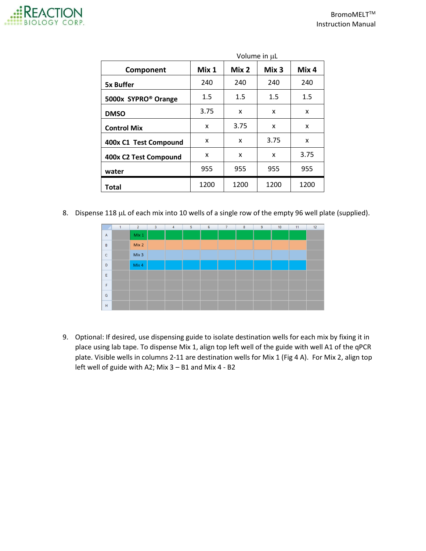

|                                 | Volume in µL |       |                  |       |  |  |  |  |  |  |
|---------------------------------|--------------|-------|------------------|-------|--|--|--|--|--|--|
| Component                       | Mix 1        | Mix 2 | Mix <sub>3</sub> | Mix 4 |  |  |  |  |  |  |
| <b>5x Buffer</b>                | 240          | 240   | 240              | 240   |  |  |  |  |  |  |
| 5000x SYPRO <sup>®</sup> Orange | 1.5          | 1.5   | 1.5              | 1.5   |  |  |  |  |  |  |
| <b>DMSO</b>                     | 3.75         | x     | x                | x     |  |  |  |  |  |  |
| <b>Control Mix</b>              | x            | 3.75  | X                | x     |  |  |  |  |  |  |
| 400x C1 Test Compound           | X            | X     | 3.75             | X     |  |  |  |  |  |  |
| 400x C2 Test Compound           | x            | x     | x                | 3.75  |  |  |  |  |  |  |
| water                           | 955          | 955   | 955              | 955   |  |  |  |  |  |  |
| Total                           | 1200         | 1200  | 1200             | 1200  |  |  |  |  |  |  |

8. Dispense 118  $\mu$ L of each mix into 10 wells of a single row of the empty 96 well plate (supplied).



9. Optional: If desired, use dispensing guide to isolate destination wells for each mix by fixing it in place using lab tape. To dispense Mix 1, align top left well of the guide with well A1 of the qPCR plate. Visible wells in columns 2-11 are destination wells for Mix 1 (Fig 4 A). For Mix 2, align top left well of guide with A2; Mix 3 – B1 and Mix 4 - B2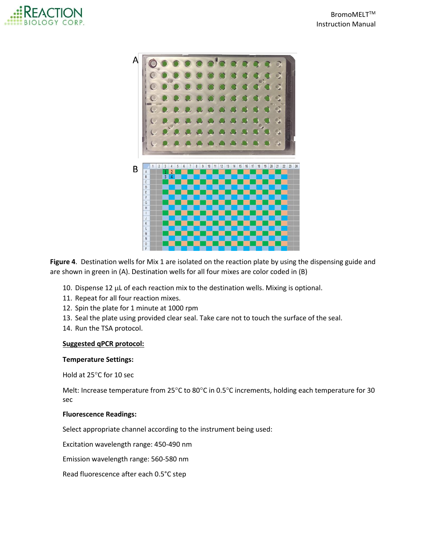



**Figure 4**. Destination wells for Mix 1 are isolated on the reaction plate by using the dispensing guide and are shown in green in (A). Destination wells for all four mixes are color coded in (B)

- 10. Dispense 12  $\mu$ L of each reaction mix to the destination wells. Mixing is optional.
- 11. Repeat for all four reaction mixes.
- 12. Spin the plate for 1 minute at 1000 rpm
- 13. Seal the plate using provided clear seal. Take care not to touch the surface of the seal.
- 14. Run the TSA protocol.

#### **Suggested qPCR protocol:**

#### **Temperature Settings:**

Hold at 25°C for 10 sec

Melt: Increase temperature from 25°C to 80°C in 0.5°C increments, holding each temperature for 30 sec

#### **Fluorescence Readings:**

Select appropriate channel according to the instrument being used:

Excitation wavelength range: 450-490 nm

Emission wavelength range: 560-580 nm

Read fluorescence after each 0.5°C step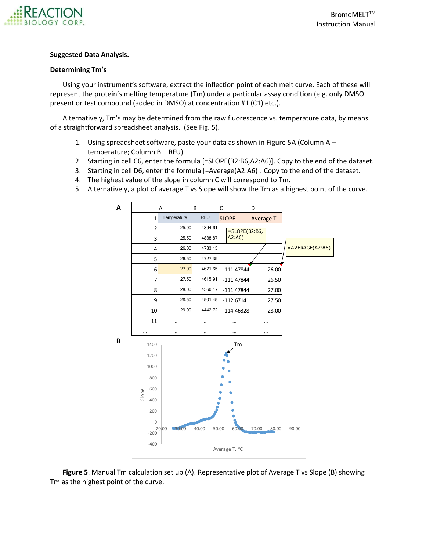

# **Suggested Data Analysis.**

# **Determining Tm's**

Using your instrument's software, extract the inflection point of each melt curve. Each of these will represent the protein's melting temperature (Tm) under a particular assay condition (e.g. only DMSO present or test compound (added in DMSO) at concentration #1 (C1) etc.).

Alternatively, Tm's may be determined from the raw fluorescence vs. temperature data, by means of a straightforward spreadsheet analysis. (See Fig. 5).

- 1. Using spreadsheet software, paste your data as shown in Figure 5A (Column A temperature; Column B – RFU)
- 2. Starting in cell C6, enter the formula [=SLOPE(B2:B6,A2:A6)]. Copy to the end of the dataset.
- 3. Starting in cell D6, enter the formula [=Average(A2:A6)]. Copy to the end of the dataset.
- 4. The highest value of the slope in column C will correspond to Tm.
- 5. Alternatively, a plot of average T vs Slope will show the Tm as a highest point of the curve.



**Figure 5**. Manual Tm calculation set up (A). Representative plot of Average T vs Slope (B) showing Tm as the highest point of the curve.